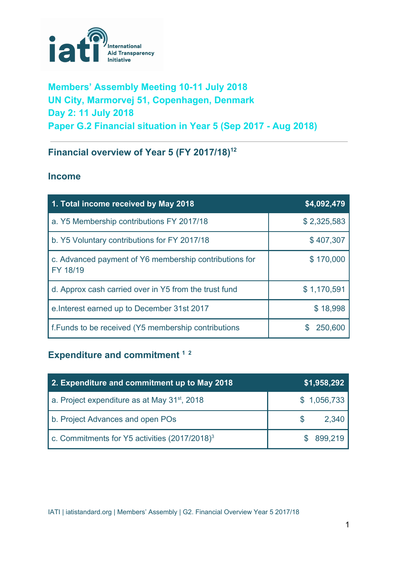

## **Members' Assembly Meeting 10-11 July 2018 UN City, Marmorvej 51, Copenhagen, Denmark Day 2: 11 July 2018 Paper G.2 Financial situation in Year 5 (Sep 2017 - Aug 2018)**

## **Financial overview of Year 5 (FY 2017/18) 12**

### **Income**

| 1. Total income received by May 2018                               | \$4,092,479 |
|--------------------------------------------------------------------|-------------|
| a. Y5 Membership contributions FY 2017/18                          | \$2,325,583 |
| b. Y5 Voluntary contributions for FY 2017/18                       | \$407,307   |
| c. Advanced payment of Y6 membership contributions for<br>FY 18/19 | \$170,000   |
| d. Approx cash carried over in Y5 from the trust fund              | \$1,170,591 |
| e. Interest earned up to December 31st 2017                        | \$18,998    |
| <b>f.Funds to be received (Y5 membership contributions</b>         | 250,600     |

# **Expenditure and commitment 1 2**

| 2. Expenditure and commitment up to May 2018              | \$1,958,292 |
|-----------------------------------------------------------|-------------|
| a. Project expenditure as at May 31 <sup>st</sup> , 2018  | \$1,056,733 |
| b. Project Advances and open POs                          | 2,340       |
| c. Commitments for Y5 activities (2017/2018) <sup>3</sup> | 899,219     |